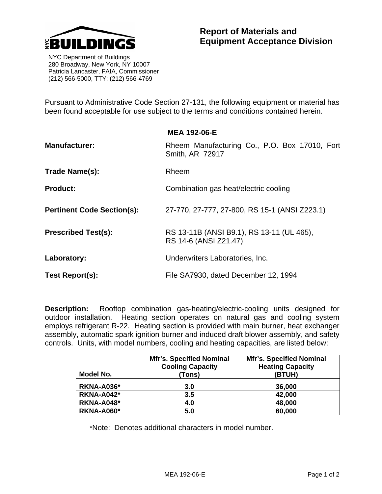

 NYC Department of Buildings 280 Broadway, New York, NY 10007 Patricia Lancaster, FAIA, Commissioner (212) 566-5000, TTY: (212) 566-4769

Pursuant to Administrative Code Section 27-131, the following equipment or material has been found acceptable for use subject to the terms and conditions contained herein.

|                                   | <b>MEA 192-06-E</b>                                                |  |
|-----------------------------------|--------------------------------------------------------------------|--|
| <b>Manufacturer:</b>              | Rheem Manufacturing Co., P.O. Box 17010, Fort<br>Smith, AR 72917   |  |
| Trade Name(s):                    | Rheem                                                              |  |
| <b>Product:</b>                   | Combination gas heat/electric cooling                              |  |
| <b>Pertinent Code Section(s):</b> | 27-770, 27-777, 27-800, RS 15-1 (ANSI Z223.1)                      |  |
| <b>Prescribed Test(s):</b>        | RS 13-11B (ANSI B9.1), RS 13-11 (UL 465),<br>RS 14-6 (ANSI Z21.47) |  |
| Laboratory:                       | Underwriters Laboratories, Inc.                                    |  |
| Test Report(s):                   | File SA7930, dated December 12, 1994                               |  |

**Description:** Rooftop combination gas-heating/electric-cooling units designed for outdoor installation. Heating section operates on natural gas and cooling system employs refrigerant R-22. Heating section is provided with main burner, heat exchanger assembly, automatic spark ignition burner and induced draft blower assembly, and safety controls. Units, with model numbers, cooling and heating capacities, are listed below:

| Model No.         | <b>Mfr's. Specified Nominal</b><br><b>Cooling Capacity</b><br>(Tons) | <b>Mfr's. Specified Nominal</b><br><b>Heating Capacity</b><br>(BTUH) |
|-------------------|----------------------------------------------------------------------|----------------------------------------------------------------------|
| <b>RKNA-A036*</b> | 3.0                                                                  | 36,000                                                               |
| <b>RKNA-A042*</b> | 3.5                                                                  | 42,000                                                               |
| <b>RKNA-A048*</b> | 4.0                                                                  | 48,000                                                               |
| <b>RKNA-A060*</b> | 5.0                                                                  | 60,000                                                               |

\*Note: Denotes additional characters in model number.